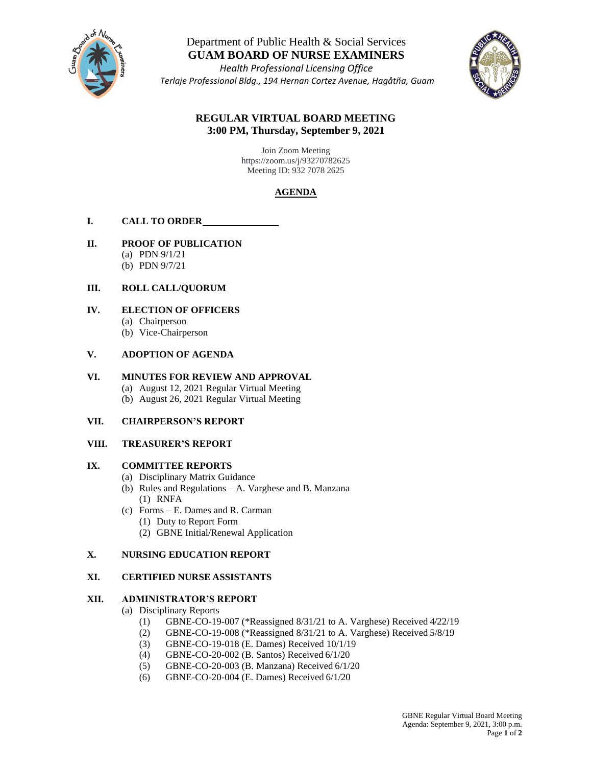

Department of Public Health & Social Services **GUAM BOARD OF NURSE EXAMINERS**

*Health Professional Licensing Office Terlaje Professional Bldg., 194 Hernan Cortez Avenue, Hagåtña, Guam* 



### **REGULAR VIRTUAL BOARD MEETING 3:00 PM, Thursday, September 9, 2021**

Join Zoom Meeting https://zoom.us/j/93270782625 Meeting ID: 932 7078 2625

# **AGENDA**

### **I. CALL TO ORDER**

### **II. PROOF OF PUBLICATION**

- (a) PDN 9/1/21
- (b) PDN 9/7/21

## **III. ROLL CALL/QUORUM**

- **IV. ELECTION OF OFFICERS**
	- (a) Chairperson
	- (b) Vice-Chairperson

### **V. ADOPTION OF AGENDA**

### **VI. MINUTES FOR REVIEW AND APPROVAL**

- (a) August 12, 2021 Regular Virtual Meeting
- (b) August 26, 2021 Regular Virtual Meeting

### **VII. CHAIRPERSON'S REPORT**

### **VIII. TREASURER'S REPORT**

### **IX. COMMITTEE REPORTS**

- (a) Disciplinary Matrix Guidance
- (b) Rules and Regulations A. Varghese and B. Manzana (1) RNFA
- (c) Forms E. Dames and R. Carman
	- (1) Duty to Report Form
	- (2) GBNE Initial/Renewal Application

### **X. NURSING EDUCATION REPORT**

### **XI. CERTIFIED NURSE ASSISTANTS**

### **XII. ADMINISTRATOR'S REPORT**

- (a) Disciplinary Reports
	- (1) GBNE-CO-19-007 (\*Reassigned 8/31/21 to A. Varghese) Received 4/22/19
	- (2) GBNE-CO-19-008 (\*Reassigned 8/31/21 to A. Varghese) Received 5/8/19
	- (3) GBNE-CO-19-018 (E. Dames) Received 10/1/19
	- (4) GBNE-CO-20-002 (B. Santos) Received 6/1/20
	- (5) GBNE-CO-20-003 (B. Manzana) Received 6/1/20
	- (6) GBNE-CO-20-004 (E. Dames) Received 6/1/20